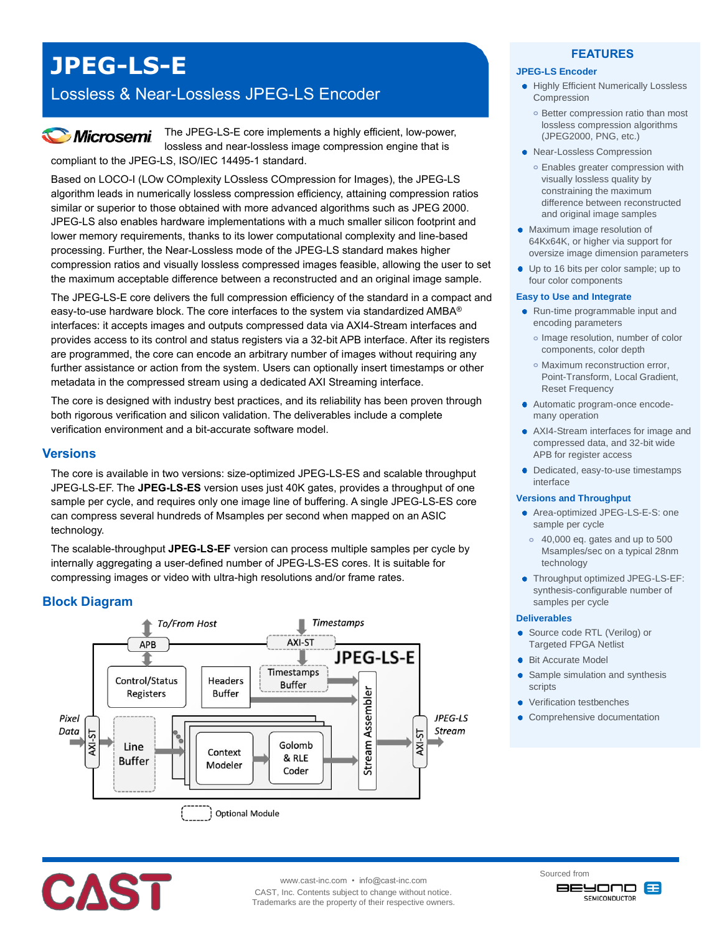# **JPEG-LS-E**

# Lossless & Near-Lossless JPEG-LS Encoder

# **Microsemi**

The JPEG-LS-E core implements a highly efficient, low-power, lossless and near-lossless image compression engine that is compliant to the JPEG-LS, ISO/IEC 14495-1 standard.

Based on LOCO-I (LOw COmplexity LOssless COmpression for Images), the JPEG-LS algorithm leads in numerically lossless compression efficiency, attaining compression ratios similar or superior to those obtained with more advanced algorithms such as JPEG 2000. JPEG-LS also enables hardware implementations with a much smaller silicon footprint and lower memory requirements, thanks to its lower computational complexity and line-based processing. Further, the Near-Lossless mode of the JPEG-LS standard makes higher compression ratios and visually lossless compressed images feasible, allowing the user to set the maximum acceptable difference between a reconstructed and an original image sample.

The JPEG-LS-E core delivers the full compression efficiency of the standard in a compact and easy-to-use hardware block. The core interfaces to the system via standardized AMBA® interfaces: it accepts images and outputs compressed data via AXI4-Stream interfaces and provides access to its control and status registers via a 32-bit APB interface. After its registers are programmed, the core can encode an arbitrary number of images without requiring any further assistance or action from the system. Users can optionally insert timestamps or other metadata in the compressed stream using a dedicated AXI Streaming interface.

The core is designed with industry best practices, and its reliability has been proven through both rigorous verification and silicon validation. The deliverables include a complete verification environment and a bit-accurate software model.

## **Versions**

The core is available in two versions: size-optimized JPEG-LS-ES and scalable throughput JPEG-LS-EF. The **JPEG-LS-ES** version uses just 40K gates, provides a throughput of one sample per cycle, and requires only one image line of buffering. A single JPEG-LS-ES core can compress several hundreds of Msamples per second when mapped on an ASIC technology.

The scalable-throughput **JPEG-LS-EF** version can process multiple samples per cycle by internally aggregating a user-defined number of JPEG-LS-ES cores. It is suitable for compressing images or video with ultra-high resolutions and/or frame rates.

# **Block Diagram**



### **FEATURES**

### **JPEG-LS Encoder**

- Highly Efficient Numerically Lossless Compression
- **o** Better compression ratio than most lossless compression algorithms (JPEG2000, PNG, etc.)
- Near-Lossless Compression
- **o** Enables greater compression with visually lossless quality by constraining the maximum difference between reconstructed and original image samples
- Maximum image resolution of 64Kx64K, or higher via support for oversize image dimension parameters
- Up to 16 bits per color sample; up to four color components

#### **Easy to Use and Integrate**

- Run-time programmable input and encoding parameters
	- **o** Image resolution, number of color components, color depth
	- **o** Maximum reconstruction error, Point-Transform, Local Gradient, Reset Frequency
- Automatic program-once encodemany operation
- AXI4-Stream interfaces for image and compressed data, and 32-bit wide APB for register access
- Dedicated, easy-to-use timestamps interface

#### **Versions and Throughput**

- Area-optimized JPEG-LS-E-S: one sample per cycle
- **o** 40,000 eq. gates and up to 500 Msamples/sec on a typical 28nm technology
- $\bullet$  Throughput optimized JPEG-LS-EF: synthesis-configurable number of samples per cycle

#### **Deliverables**

- Source code RTL (Verilog) or Targeted FPGA Netlist
- Bit Accurate Model ٠
- Sample simulation and synthesis ò scripts
- Verification testbenches
- Comprehensive documentation



www.cast-inc.com • info@cast-inc.com

CAST, Inc. Contents subject to change without notice. Trademarks are the property of their respective owners. Sourced from onovee

**SEMICONDUCTOR** 

æ